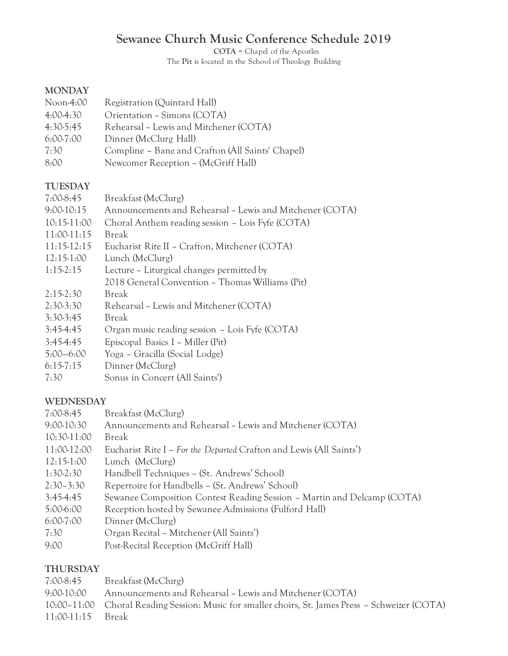# **Sewanee Church Music Conference Schedule 2019**

**COTA** = Chapel of the Apostles The **Pit** is located in the School of Theology Building

## **MONDAY**

- Noon-4:00 Registration (Quintard Hall)
- 4:00-4:30 Orientation Simons (COTA)
- 4:30-5:45 Rehearsal Lewis and Mitchener (COTA)
- 6:00-7:00 Dinner (McClurg Hall)
- 7:30 Compline Bane and Crafton (All Saints' Chapel)
- 8:00 Newcomer Reception (McGriff Hall)

#### **TUESDAY**

| $7:00-8:45$   | Breakfast (McClurg)                                      |
|---------------|----------------------------------------------------------|
| $9:00-10:15$  | Announcements and Rehearsal - Lewis and Mitchener (COTA) |
| $10:15-11:00$ | Choral Anthem reading session - Lois Fyfe (COTA)         |
| $11:00-11:15$ | <b>Break</b>                                             |
| $11:15-12:15$ | Eucharist Rite II - Crafton, Mitchener (COTA)            |
| $12:15-1:00$  | Lunch (McClurg)                                          |
| $1:15-2:15$   | Lecture – Liturgical changes permitted by                |
|               | 2018 General Convention - Thomas Williams (Pit)          |
| $2:15-2:30$   | <b>Break</b>                                             |
| $2:30-3:30$   | Rehearsal - Lewis and Mitchener (COTA)                   |
| $3:30-3:45$   | <b>Break</b>                                             |
| $3:45-4:45$   | Organ music reading session - Lois Fyfe (COTA)           |
| $3:45-4:45$   | Episcopal Basics I – Miller (Pit)                        |
| $5:00 - 6:00$ | Yoga - Gracilla (Social Lodge)                           |
| $6:15-7:15$   | Dinner (McClurg)                                         |
| 7:30          | Sonus in Concert (All Saints')                           |

#### **WEDNESDAY**

- 7:00-8:45 Breakfast (McClurg)
- 9:00-10:30 Announcements and Rehearsal Lewis and Mitchener (COTA)
- 10:30-11:00 Break
- 11:00-12:00 Eucharist Rite I *For the Departed* Crafton and Lewis (All Saints')
- 12:15-1:00 Lunch (McClurg)
- 1:30-2:30 Handbell Techniques (St. Andrews' School)
- 2:30–3:30 Repertoire for Handbells (St. Andrews' School)
- 3:45-4:45 Sewanee Composition Contest Reading Session Martin and Delcamp (COTA)
- 5:00-6:00 Reception hosted by Sewanee Admissions (Fulford Hall)
- 6:00-7:00 Dinner (McClurg)
- 7:30 Organ Recital Mitchener (All Saints')
- 9:00 Post-Recital Reception (McGriff Hall)

#### **THURSDAY**

- 7:00-8:45 Breakfast (McClurg)
- 9:00-10:00 Announcements and Rehearsal Lewis and Mitchener (COTA)
- 10:00–11:00 Choral Reading Session: Music for smaller choirs, St. James Press Schweizer (COTA)
- 11:00-11:15 Break